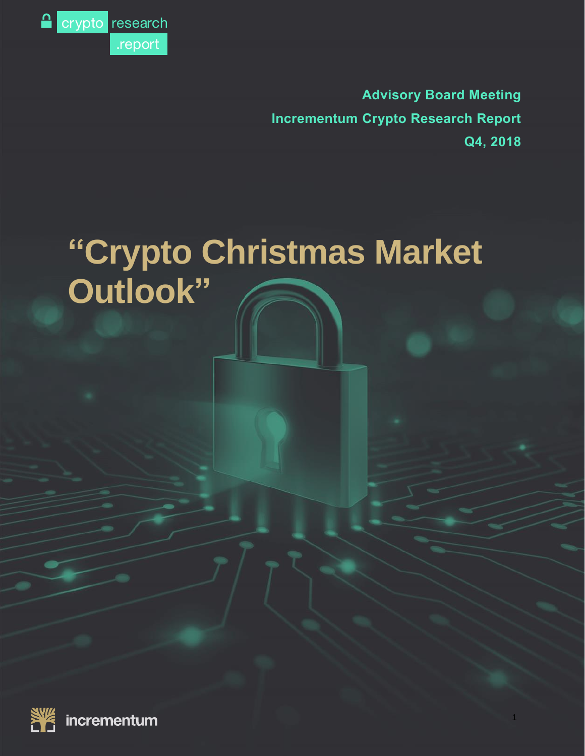

**Advisory Board Meeting Incrementum Crypto Research Report Q4, 2018**

1

# **"Crypto Christmas Market Outlook"**

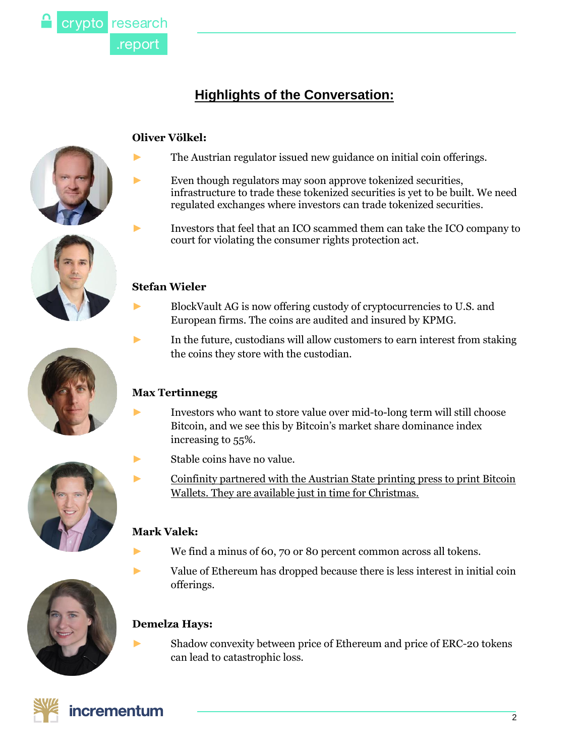

# **Highlights of the Conversation:**

# **Oliver Völkel:**



- ► Even though regulators may soon approve tokenized securities, infrastructure to trade these tokenized securities is yet to be built. We need regulated exchanges where investors can trade tokenized securities.
	- Investors that feel that an ICO scammed them can take the ICO company to court for violating the consumer rights protection act.

# **Stefan Wieler**

- ► BlockVault AG is now offering custody of cryptocurrencies to U.S. and European firms. The coins are audited and insured by KPMG.
- ► In the future, custodians will allow customers to earn interest from staking the coins they store with the custodian.

# **Max Tertinnegg**

- ► Investors who want to store value over mid-to-long term will still choose Bitcoin, and we see this by Bitcoin's market share dominance index increasing to 55%.
- ► Stable coins have no value.
- ► [Coinfinity](https://www.cardwallet.com/) partnered with the Austrian State printing press to print Bitcoin Wallets. They are available just in time for [Christmas.](https://www.cardwallet.com/)

# **Mark Valek:**

- ► We find a minus of 60, 70 or 80 percent common across all tokens.
- ► Value of Ethereum has dropped because there is less interest in initial coin offerings.

Shadow convexity between price of Ethereum and price of ERC-20 tokens can lead to catastrophic loss.







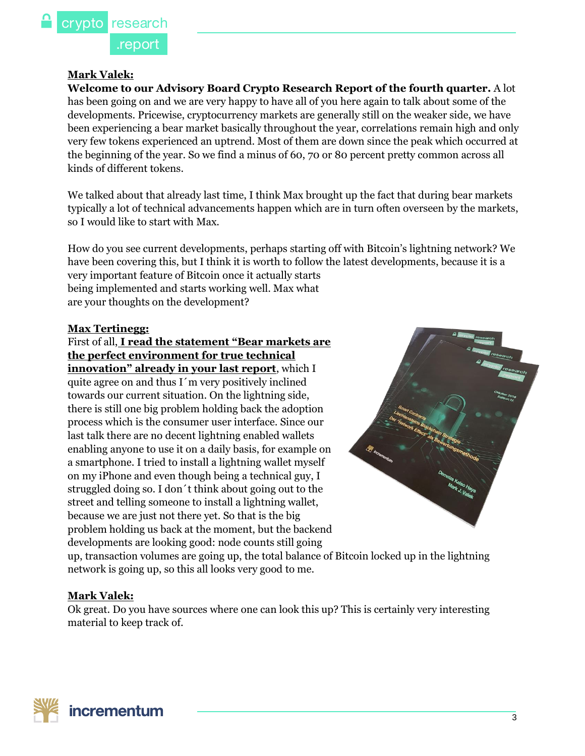#### **Mark Valek:**

**Welcome to our Advisory Board Crypto Research Report of the fourth quarter.** A lot has been going on and we are very happy to have all of you here again to talk about some of the developments. Pricewise, cryptocurrency markets are generally still on the weaker side, we have been experiencing a bear market basically throughout the year, correlations remain high and only very few tokens experienced an uptrend. Most of them are down since the peak which occurred at the beginning of the year. So we find a minus of 60, 70 or 80 percent pretty common across all kinds of different tokens.

We talked about that already last time, I think Max brought up the fact that during bear markets typically a lot of technical advancements happen which are in turn often overseen by the markets, so I would like to start with Max.

How do you see current developments, perhaps starting off with Bitcoin's lightning network? We have been covering this, but I think it is worth to follow the latest developments, because it is a very important feature of Bitcoin once it actually starts being implemented and starts working well. Max what are your thoughts on the development?

#### **Max Tertinegg:**

#### First of all, **I read the statement "[Bear markets are](https://cryptoresearch.report/downloads/)  [the perfect environment for true technical](https://cryptoresearch.report/downloads/)  innovation**" **[already in your last report](https://cryptoresearch.report/downloads/)**, which I

quite agree on and thus I´m very positively inclined towards our current situation. On the lightning side, there is still one big problem holding back the adoption process which is the consumer user interface. Since our last talk there are no decent lightning enabled wallets enabling anyone to use it on a daily basis, for example on a smartphone. I tried to install a lightning wallet myself on my iPhone and even though being a technical guy, I struggled doing so. I don´t think about going out to the street and telling someone to install a lightning wallet, because we are just not there yet. So that is the big problem holding us back at the moment, but the backend developments are looking good: node counts still going



up, transaction volumes are going up, the total balance of Bitcoin locked up in the lightning network is going up, so this all looks very good to me.

#### **Mark Valek:**

Ok great. Do you have sources where one can look this up? This is certainly very interesting material to keep track of.

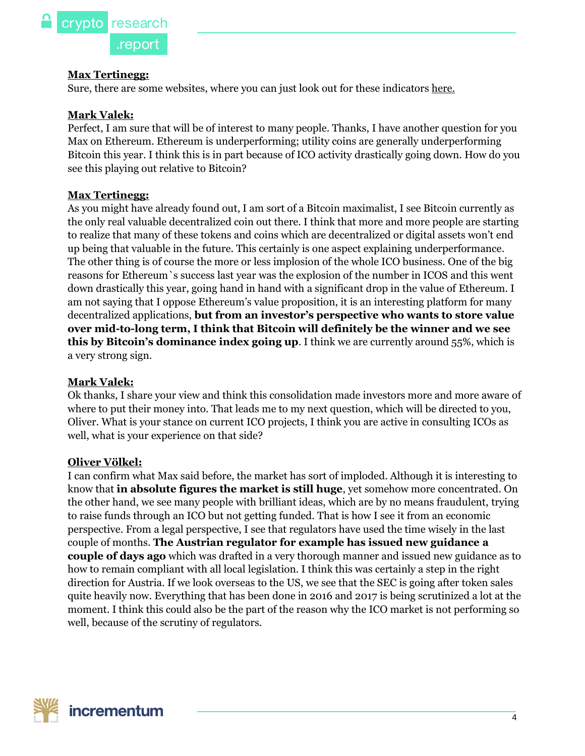#### **Max Tertinegg:**

Sure, there are some websites, where you can just look out for these indicators [here.](https://1ml.com/)

#### **Mark Valek:**

Perfect, I am sure that will be of interest to many people. Thanks, I have another question for you Max on Ethereum. Ethereum is underperforming; utility coins are generally underperforming Bitcoin this year. I think this is in part because of ICO activity drastically going down. How do you see this playing out relative to Bitcoin?

#### **Max Tertinegg:**

As you might have already found out, I am sort of a Bitcoin maximalist, I see Bitcoin currently as the only real valuable decentralized coin out there. I think that more and more people are starting to realize that many of these tokens and coins which are decentralized or digital assets won't end up being that valuable in the future. This certainly is one aspect explaining underperformance. The other thing is of course the more or less implosion of the whole ICO business. One of the big reasons for Ethereum`s success last year was the explosion of the number in ICOS and this went down drastically this year, going hand in hand with a significant drop in the value of Ethereum. I am not saying that I oppose Ethereum's value proposition, it is an interesting platform for many decentralized applications, **but from an investor's perspective who wants to store value over mid-to-long term, I think that Bitcoin will definitely be the winner and we see this by Bitcoin's dominance index going up**. I think we are currently around 55%, which is a very strong sign.

#### **Mark Valek:**

Ok thanks, I share your view and think this consolidation made investors more and more aware of where to put their money into. That leads me to my next question, which will be directed to you, Oliver. What is your stance on current ICO projects, I think you are active in consulting ICOs as well, what is your experience on that side?

#### **Oliver Völkel:**

I can confirm what Max said before, the market has sort of imploded. Although it is interesting to know that **in absolute figures the market is still huge**, yet somehow more concentrated. On the other hand, we see many people with brilliant ideas, which are by no means fraudulent, trying to raise funds through an ICO but not getting funded. That is how I see it from an economic perspective. From a legal perspective, I see that regulators have used the time wisely in the last couple of months. **The Austrian regulator for example has issued new guidance a couple of days ago** which was drafted in a very thorough manner and issued new guidance as to how to remain compliant with all local legislation. I think this was certainly a step in the right direction for Austria. If we look overseas to the US, we see that the SEC is going after token sales quite heavily now. Everything that has been done in 2016 and 2017 is being scrutinized a lot at the moment. I think this could also be the part of the reason why the ICO market is not performing so well, because of the scrutiny of regulators.

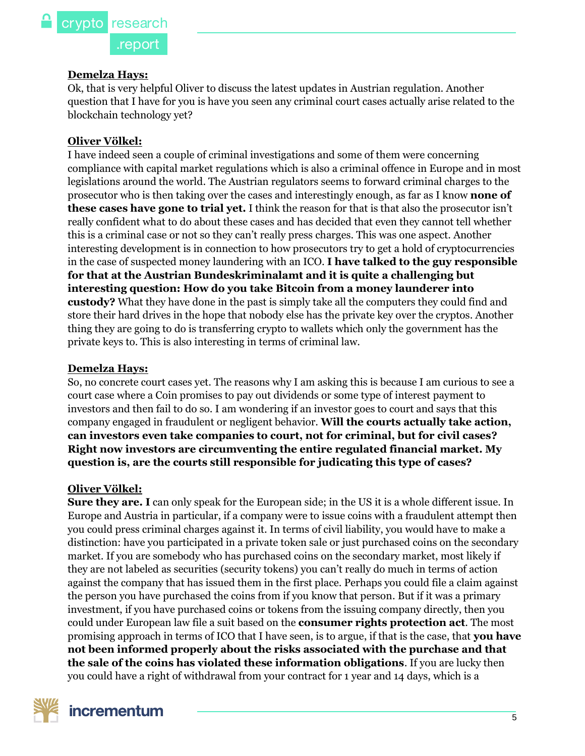#### **Demelza Hays:**

Ok, that is very helpful Oliver to discuss the latest updates in Austrian regulation. Another question that I have for you is have you seen any criminal court cases actually arise related to the blockchain technology yet?

#### **Oliver Völkel:**

I have indeed seen a couple of criminal investigations and some of them were concerning compliance with capital market regulations which is also a criminal offence in Europe and in most legislations around the world. The Austrian regulators seems to forward criminal charges to the prosecutor who is then taking over the cases and interestingly enough, as far as I know **none of these cases have gone to trial yet.** I think the reason for that is that also the prosecutor isn't really confident what to do about these cases and has decided that even they cannot tell whether this is a criminal case or not so they can't really press charges. This was one aspect. Another interesting development is in connection to how prosecutors try to get a hold of cryptocurrencies in the case of suspected money laundering with an ICO. **I have talked to the guy responsible for that at the Austrian Bundeskriminalamt and it is quite a challenging but interesting question: How do you take Bitcoin from a money launderer into custody?** What they have done in the past is simply take all the computers they could find and store their hard drives in the hope that nobody else has the private key over the cryptos. Another thing they are going to do is transferring crypto to wallets which only the government has the private keys to. This is also interesting in terms of criminal law.

#### **Demelza Hays:**

So, no concrete court cases yet. The reasons why I am asking this is because I am curious to see a court case where a Coin promises to pay out dividends or some type of interest payment to investors and then fail to do so. I am wondering if an investor goes to court and says that this company engaged in fraudulent or negligent behavior. **Will the courts actually take action, can investors even take companies to court, not for criminal, but for civil cases? Right now investors are circumventing the entire regulated financial market. My question is, are the courts still responsible for judicating this type of cases?**

#### **Oliver Völkel:**

**Sure they are. I** can only speak for the European side; in the US it is a whole different issue. In Europe and Austria in particular, if a company were to issue coins with a fraudulent attempt then you could press criminal charges against it. In terms of civil liability, you would have to make a distinction: have you participated in a private token sale or just purchased coins on the secondary market. If you are somebody who has purchased coins on the secondary market, most likely if they are not labeled as securities (security tokens) you can't really do much in terms of action against the company that has issued them in the first place. Perhaps you could file a claim against the person you have purchased the coins from if you know that person. But if it was a primary investment, if you have purchased coins or tokens from the issuing company directly, then you could under European law file a suit based on the **consumer rights protection act**. The most promising approach in terms of ICO that I have seen, is to argue, if that is the case, that **you have not been informed properly about the risks associated with the purchase and that the sale of the coins has violated these information obligations**. If you are lucky then you could have a right of withdrawal from your contract for 1 year and 14 days, which is a

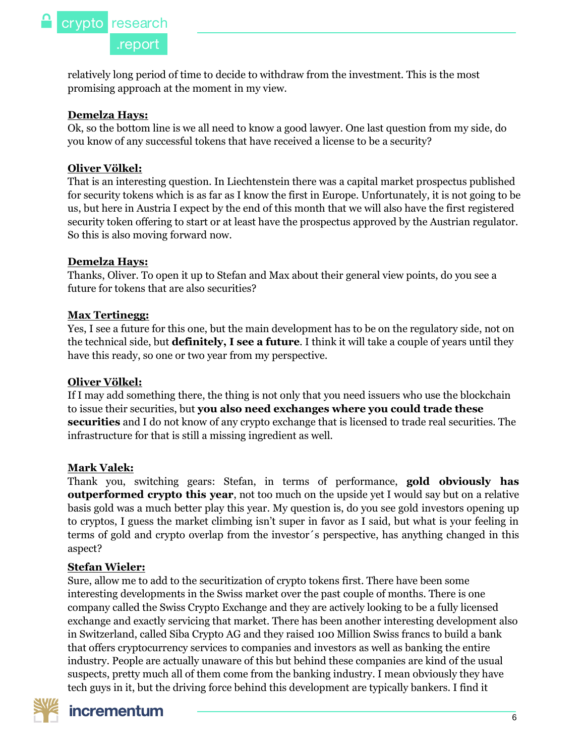relatively long period of time to decide to withdraw from the investment. This is the most promising approach at the moment in my view.

#### **Demelza Hays:**

Ok, so the bottom line is we all need to know a good lawyer. One last question from my side, do you know of any successful tokens that have received a license to be a security?

# **Oliver Völkel:**

That is an interesting question. In Liechtenstein there was a capital market prospectus published for security tokens which is as far as I know the first in Europe. Unfortunately, it is not going to be us, but here in Austria I expect by the end of this month that we will also have the first registered security token offering to start or at least have the prospectus approved by the Austrian regulator. So this is also moving forward now.

### **Demelza Hays:**

Thanks, Oliver. To open it up to Stefan and Max about their general view points, do you see a future for tokens that are also securities?

### **Max Tertinegg:**

Yes, I see a future for this one, but the main development has to be on the regulatory side, not on the technical side, but **definitely, I see a future**. I think it will take a couple of years until they have this ready, so one or two year from my perspective.

#### **Oliver Völkel:**

If I may add something there, the thing is not only that you need issuers who use the blockchain to issue their securities, but **you also need exchanges where you could trade these securities** and I do not know of any crypto exchange that is licensed to trade real securities. The infrastructure for that is still a missing ingredient as well.

#### **Mark Valek:**

Thank you, switching gears: Stefan, in terms of performance, **gold obviously has outperformed crypto this year**, not too much on the upside yet I would say but on a relative basis gold was a much better play this year. My question is, do you see gold investors opening up to cryptos, I guess the market climbing isn't super in favor as I said, but what is your feeling in terms of gold and crypto overlap from the investor´s perspective, has anything changed in this aspect?

# **Stefan Wieler:**

Sure, allow me to add to the securitization of crypto tokens first. There have been some interesting developments in the Swiss market over the past couple of months. There is one company called the Swiss Crypto Exchange and they are actively looking to be a fully licensed exchange and exactly servicing that market. There has been another interesting development also in Switzerland, called Siba Crypto AG and they raised 100 Million Swiss francs to build a bank that offers cryptocurrency services to companies and investors as well as banking the entire industry. People are actually unaware of this but behind these companies are kind of the usual suspects, pretty much all of them come from the banking industry. I mean obviously they have tech guys in it, but the driving force behind this development are typically bankers. I find it

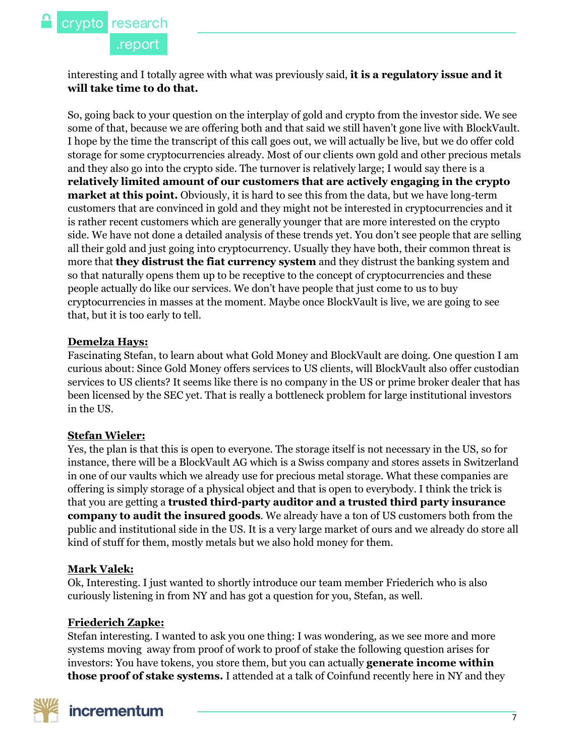interesting and I totally agree with what was previously said, **it is a regulatory issue and it will take time to do that.**

So, going back to your question on the interplay of gold and crypto from the investor side. We see some of that, because we are offering both and that said we still haven't gone live with BlockVault. I hope by the time the transcript of this call goes out, we will actually be live, but we do offer cold storage for some cryptocurrencies already. Most of our clients own gold and other precious metals and they also go into the crypto side. The turnover is relatively large; I would say there is a **relatively limited amount of our customers that are actively engaging in the crypto market at this point.** Obviously, it is hard to see this from the data, but we have long-term customers that are convinced in gold and they might not be interested in cryptocurrencies and it is rather recent customers which are generally younger that are more interested on the crypto side. We have not done a detailed analysis of these trends yet. You don't see people that are selling all their gold and just going into cryptocurrency. Usually they have both, their common threat is more that **they distrust the fiat currency system** and they distrust the banking system and so that naturally opens them up to be receptive to the concept of cryptocurrencies and these people actually do like our services. We don't have people that just come to us to buy cryptocurrencies in masses at the moment. Maybe once BlockVault is live, we are going to see that, but it is too early to tell.

### **Demelza Hays:**

Fascinating Stefan, to learn about what Gold Money and BlockVault are doing. One question I am curious about: Since Gold Money offers services to US clients, will BlockVault also offer custodian services to US clients? It seems like there is no company in the US or prime broker dealer that has been licensed by the SEC yet. That is really a bottleneck problem for large institutional investors in the US.

# **Stefan Wieler:**

Yes, the plan is that this is open to everyone. The storage itself is not necessary in the US, so for instance, there will be a BlockVault AG which is a Swiss company and stores assets in Switzerland in one of our vaults which we already use for precious metal storage. What these companies are offering is simply storage of a physical object and that is open to everybody. I think the trick is that you are getting a **trusted third-party auditor and a trusted third party insurance company to audit the insured goods**. We already have a ton of US customers both from the public and institutional side in the US. It is a very large market of ours and we already do store all kind of stuff for them, mostly metals but we also hold money for them.

# **Mark Valek:**

Ok, Interesting. I just wanted to shortly introduce our team member Friederich who is also curiously listening in from NY and has got a question for you, Stefan, as well.

# **Friederich Zapke:**

Stefan interesting. I wanted to ask you one thing: I was wondering, as we see more and more systems moving away from proof of work to proof of stake the following question arises for investors: You have tokens, you store them, but you can actually **generate income within those proof of stake systems.** I attended at a talk of Coinfund recently here in NY and they

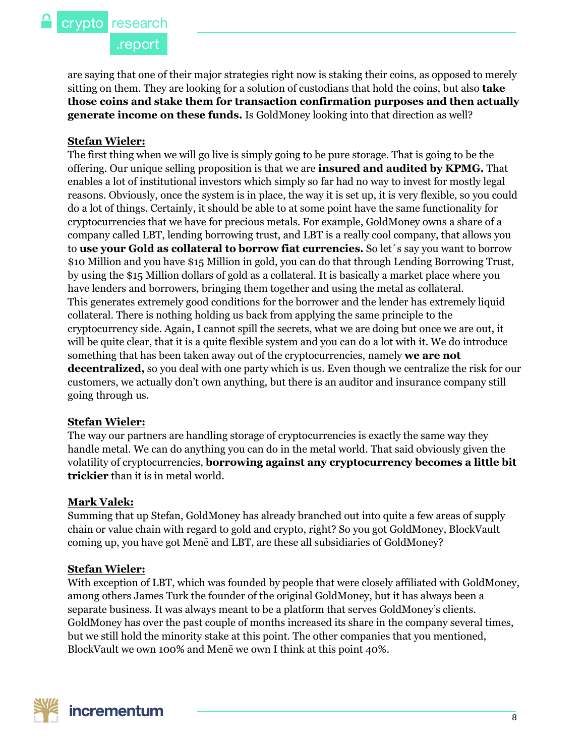.report

are saying that one of their major strategies right now is staking their coins, as opposed to merely sitting on them. They are looking for a solution of custodians that hold the coins, but also **take those coins and stake them for transaction confirmation purposes and then actually generate income on these funds.** Is GoldMoney looking into that direction as well?

#### **Stefan Wieler:**

The first thing when we will go live is simply going to be pure storage. That is going to be the offering. Our unique selling proposition is that we are **insured and audited by KPMG.** That enables a lot of institutional investors which simply so far had no way to invest for mostly legal reasons. Obviously, once the system is in place, the way it is set up, it is very flexible, so you could do a lot of things. Certainly, it should be able to at some point have the same functionality for cryptocurrencies that we have for precious metals. For example, GoldMoney owns a share of a company called LBT, lending borrowing trust, and LBT is a really cool company, that allows you to **use your Gold as collateral to borrow fiat currencies.** So let´s say you want to borrow \$10 Million and you have \$15 Million in gold, you can do that through Lending Borrowing Trust, by using the \$15 Million dollars of gold as a collateral. It is basically a market place where you have lenders and borrowers, bringing them together and using the metal as collateral. This generates extremely good conditions for the borrower and the lender has extremely liquid collateral. There is nothing holding us back from applying the same principle to the cryptocurrency side. Again, I cannot spill the secrets, what we are doing but once we are out, it will be quite clear, that it is a quite flexible system and you can do a lot with it. We do introduce something that has been taken away out of the cryptocurrencies, namely **we are not decentralized,** so you deal with one party which is us. Even though we centralize the risk for our customers, we actually don't own anything, but there is an auditor and insurance company still going through us.

#### **Stefan Wieler:**

The way our partners are handling storage of cryptocurrencies is exactly the same way they handle metal. We can do anything you can do in the metal world. That said obviously given the volatility of cryptocurrencies, **borrowing against any cryptocurrency becomes a little bit trickier** than it is in metal world.

#### **Mark Valek:**

Summing that up Stefan, GoldMoney has already branched out into quite a few areas of supply chain or value chain with regard to gold and crypto, right? So you got GoldMoney, BlockVault coming up, you have got Menē and LBT, are these all subsidiaries of GoldMoney?

#### **Stefan Wieler:**

With exception of LBT, which was founded by people that were closely affiliated with GoldMoney, among others James Turk the founder of the original GoldMoney, but it has always been a separate business. It was always meant to be a platform that serves GoldMoney's clients. GoldMoney has over the past couple of months increased its share in the company several times, but we still hold the minority stake at this point. The other companies that you mentioned, BlockVault we own 100% and Menē we own I think at this point 40%.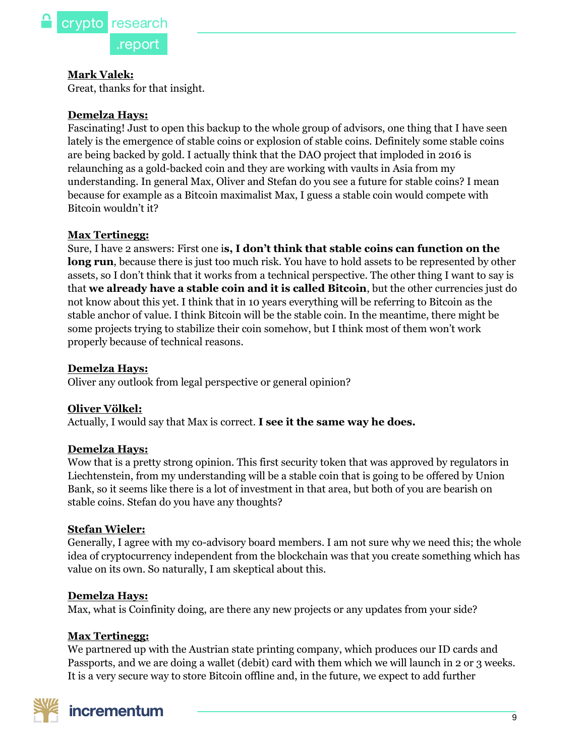

#### **Mark Valek:**

Great, thanks for that insight.

#### **Demelza Hays:**

Fascinating! Just to open this backup to the whole group of advisors, one thing that I have seen lately is the emergence of stable coins or explosion of stable coins. Definitely some stable coins are being backed by gold. I actually think that the DAO project that imploded in 2016 is relaunching as a gold-backed coin and they are working with vaults in Asia from my understanding. In general Max, Oliver and Stefan do you see a future for stable coins? I mean because for example as a Bitcoin maximalist Max, I guess a stable coin would compete with Bitcoin wouldn't it?

#### **Max Tertinegg:**

Sure, I have 2 answers: First one i**s, I don't think that stable coins can function on the long run**, because there is just too much risk. You have to hold assets to be represented by other assets, so I don't think that it works from a technical perspective. The other thing I want to say is that **we already have a stable coin and it is called Bitcoin**, but the other currencies just do not know about this yet. I think that in 10 years everything will be referring to Bitcoin as the stable anchor of value. I think Bitcoin will be the stable coin. In the meantime, there might be some projects trying to stabilize their coin somehow, but I think most of them won't work properly because of technical reasons.

#### **Demelza Hays:**

Oliver any outlook from legal perspective or general opinion?

#### **Oliver Völkel:**

Actually, I would say that Max is correct. **I see it the same way he does.**

#### **Demelza Hays:**

Wow that is a pretty strong opinion. This first security token that was approved by regulators in Liechtenstein, from my understanding will be a stable coin that is going to be offered by Union Bank, so it seems like there is a lot of investment in that area, but both of you are bearish on stable coins. Stefan do you have any thoughts?

#### **Stefan Wieler:**

Generally, I agree with my co-advisory board members. I am not sure why we need this; the whole idea of cryptocurrency independent from the blockchain was that you create something which has value on its own. So naturally, I am skeptical about this.

#### **Demelza Hays:**

Max, what is Coinfinity doing, are there any new projects or any updates from your side?

#### **Max Tertinegg:**

We partnered up with the Austrian state printing company, which produces our ID cards and Passports, and we are doing a wallet (debit) card with them which we will launch in 2 or 3 weeks. It is a very secure way to store Bitcoin offline and, in the future, we expect to add further

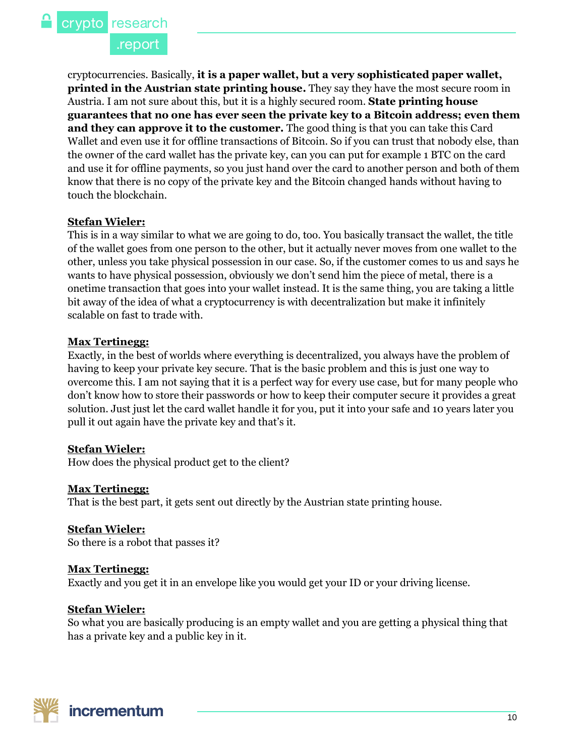.report

cryptocurrencies. Basically, **it is a paper wallet, but a very sophisticated paper wallet, printed in the Austrian state printing house.** They say they have the most secure room in Austria. I am not sure about this, but it is a highly secured room. **State printing house guarantees that no one has ever seen the private key to a Bitcoin address; even them and they can approve it to the customer.** The good thing is that you can take this Card Wallet and even use it for offline transactions of Bitcoin. So if you can trust that nobody else, than the owner of the card wallet has the private key, can you can put for example 1 BTC on the card and use it for offline payments, so you just hand over the card to another person and both of them know that there is no copy of the private key and the Bitcoin changed hands without having to touch the blockchain.

#### **Stefan Wieler:**

This is in a way similar to what we are going to do, too. You basically transact the wallet, the title of the wallet goes from one person to the other, but it actually never moves from one wallet to the other, unless you take physical possession in our case. So, if the customer comes to us and says he wants to have physical possession, obviously we don't send him the piece of metal, there is a onetime transaction that goes into your wallet instead. It is the same thing, you are taking a little bit away of the idea of what a cryptocurrency is with decentralization but make it infinitely scalable on fast to trade with.

#### **Max Tertinegg:**

Exactly, in the best of worlds where everything is decentralized, you always have the problem of having to keep your private key secure. That is the basic problem and this is just one way to overcome this. I am not saying that it is a perfect way for every use case, but for many people who don't know how to store their passwords or how to keep their computer secure it provides a great solution. Just just let the card wallet handle it for you, put it into your safe and 10 years later you pull it out again have the private key and that's it.

#### **Stefan Wieler:**

How does the physical product get to the client?

#### **Max Tertinegg:**

That is the best part, it gets sent out directly by the Austrian state printing house.

**Stefan Wieler:** So there is a robot that passes it?

#### **Max Tertinegg:**

Exactly and you get it in an envelope like you would get your ID or your driving license.

#### **Stefan Wieler:**

So what you are basically producing is an empty wallet and you are getting a physical thing that has a private key and a public key in it.

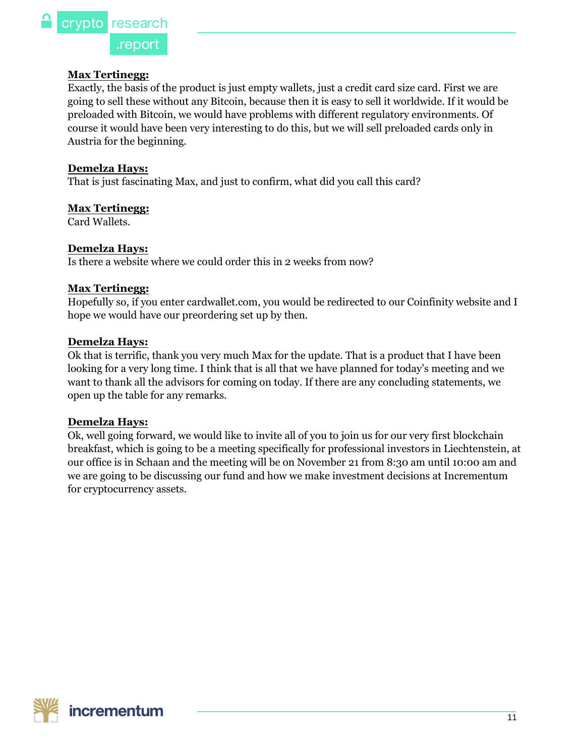#### **Max Tertinegg:**

Exactly, the basis of the product is just empty wallets, just a credit card size card. First we are going to sell these without any Bitcoin, because then it is easy to sell it worldwide. If it would be preloaded with Bitcoin, we would have problems with different regulatory environments. Of course it would have been very interesting to do this, but we will sell preloaded cards only in Austria for the beginning.

#### **Demelza Hays:**

That is just fascinating Max, and just to confirm, what did you call this card?

#### **Max Tertinegg:**

[Card Wallets.](https://www.cardwallet.com/)

#### **Demelza Hays:**

Is there a website where we could order this in 2 weeks from now?

#### **Max Tertinegg:**

Hopefully so, if you enter cardwallet.com, you would be redirected to our Coinfinity website and I hope we would have our preordering set up by then.

#### **Demelza Hays:**

Ok that is terrific, thank you very much Max for the update. That is a product that I have been looking for a very long time. I think that is all that we have planned for today's meeting and we want to thank all the advisors for coming on today. If there are any concluding statements, we open up the table for any remarks.

#### **Demelza Hays:**

Ok, well going forward, we would like to invite all of you to join us for our very first blockchain breakfast, which is going to be a meeting specifically for professional investors in Liechtenstein, at our office is in Schaan and the meeting will be on November 21 from 8:30 am until 10:00 am and we are going to be discussing our fund and how we make investment decisions at Incrementum for cryptocurrency assets.

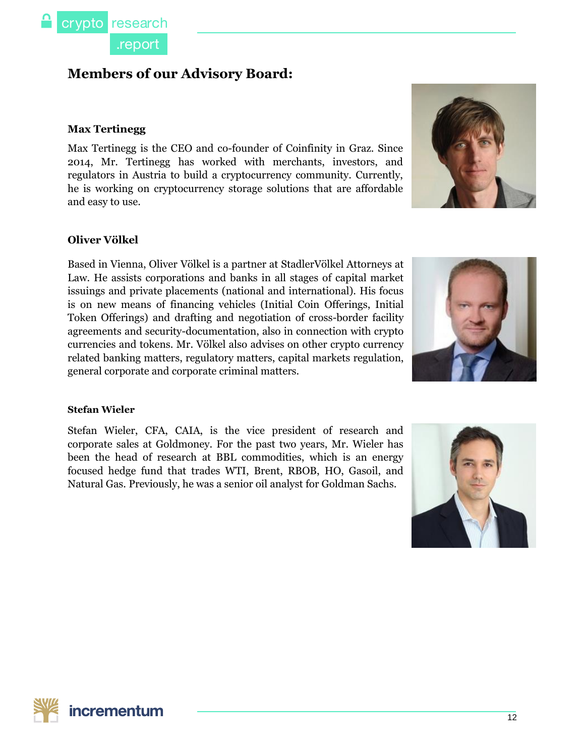

# **Members of our Advisory Board:**

#### **Max Tertinegg**

Max Tertinegg is the CEO and co-founder of Coinfinity in Graz. Since 2014, Mr. Tertinegg has worked with merchants, investors, and regulators in Austria to build a cryptocurrency community. Currently, he is working on cryptocurrency storage solutions that are affordable and easy to use.



#### **Oliver Völkel**

Based in Vienna, Oliver Völkel is a partner at StadlerVölkel Attorneys at Law. He assists corporations and banks in all stages of capital market issuings and private placements (national and international). His focus is on new means of financing vehicles (Initial Coin Offerings, Initial Token Offerings) and drafting and negotiation of cross-border facility agreements and security-documentation, also in connection with crypto currencies and tokens. Mr. Völkel also advises on other crypto currency related banking matters, regulatory matters, capital markets regulation, general corporate and corporate criminal matters.



#### **Stefan Wieler**

Stefan Wieler, CFA, CAIA, is the vice president of research and corporate sales at Goldmoney. For the past two years, Mr. Wieler has been the head of research at BBL commodities, which is an energy focused hedge fund that trades WTI, Brent, RBOB, HO, Gasoil, and Natural Gas. Previously, he was a senior oil analyst for Goldman Sachs.



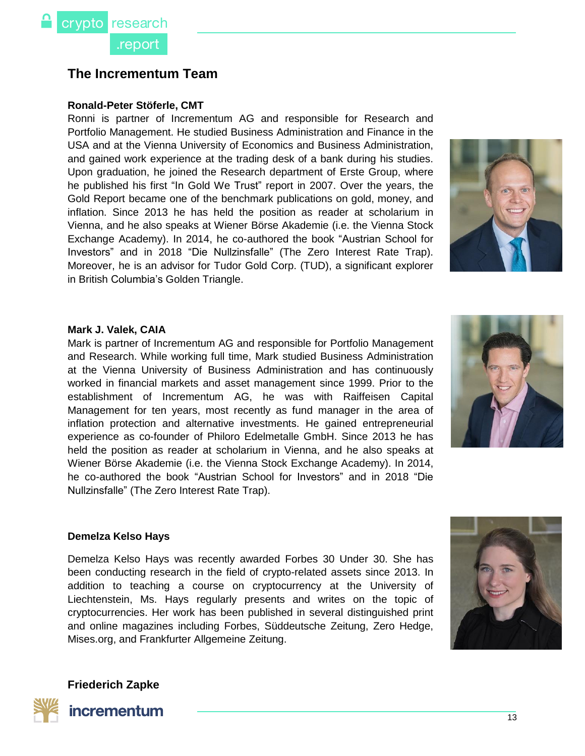# **The Incrementum Team**

#### **Ronald-Peter Stöferle, CMT**

Ronni is partner of Incrementum AG and responsible for Research and Portfolio Management. He studied Business Administration and Finance in the USA and at the Vienna University of Economics and Business Administration, and gained work experience at the trading desk of a bank during his studies. Upon graduation, he joined the Research department of Erste Group, where he published his first "In Gold We Trust" report in 2007. Over the years, the Gold Report became one of the benchmark publications on gold, money, and inflation. Since 2013 he has held the position as reader at scholarium in Vienna, and he also speaks at Wiener Börse Akademie (i.e. the Vienna Stock Exchange Academy). In 2014, he co-authored the book "Austrian School for Investors" and in 2018 "Die Nullzinsfalle" (The Zero Interest Rate Trap). Moreover, he is an advisor for Tudor Gold Corp. (TUD), a significant explorer in British Columbia's Golden Triangle.



#### **Mark J. Valek, CAIA**

Mark is partner of Incrementum AG and responsible for Portfolio Management and Research. While working full time, Mark studied Business Administration at the Vienna University of Business Administration and has continuously worked in financial markets and asset management since 1999. Prior to the establishment of Incrementum AG, he was with Raiffeisen Capital Management for ten years, most recently as fund manager in the area of inflation protection and alternative investments. He gained entrepreneurial experience as co-founder of Philoro Edelmetalle GmbH. Since 2013 he has held the position as reader at scholarium in Vienna, and he also speaks at Wiener Börse Akademie (i.e. the Vienna Stock Exchange Academy). In 2014, he co-authored the book "Austrian School for Investors" and in 2018 "Die Nullzinsfalle" (The Zero Interest Rate Trap).



#### **Demelza Kelso Hays**

Demelza Kelso Hays was recently awarded Forbes 30 Under 30. She has been conducting research in the field of crypto-related assets since 2013. In addition to teaching a course on cryptocurrency at the University of Liechtenstein, Ms. Hays regularly presents and writes on the topic of cryptocurrencies. Her work has been published in several distinguished print and online magazines including Forbes, Süddeutsche Zeitung, Zero Hedge, Mises.org, and Frankfurter Allgemeine Zeitung.



**Friederich Zapke**

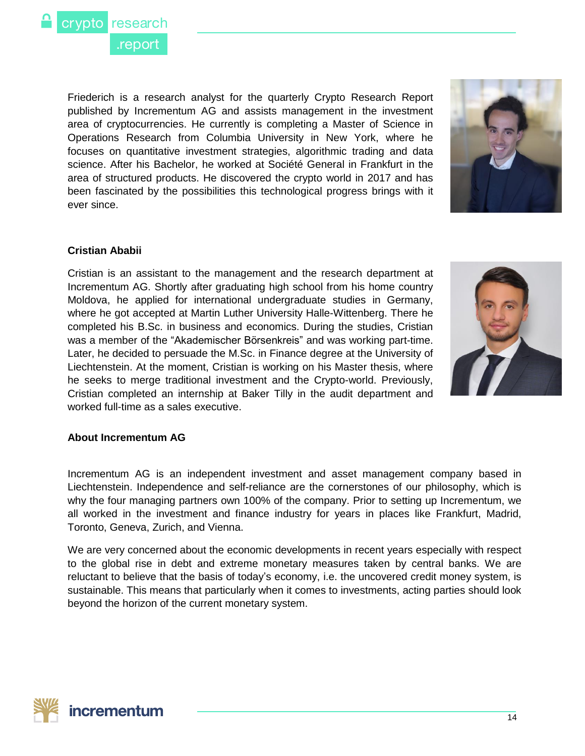

Friederich is a research analyst for the quarterly Crypto Research Report published by Incrementum AG and assists management in the investment area of cryptocurrencies. He currently is completing a Master of Science in Operations Research from Columbia University in New York, where he focuses on quantitative investment strategies, algorithmic trading and data science. After his Bachelor, he worked at Société General in Frankfurt in the area of structured products. He discovered the crypto world in 2017 and has been fascinated by the possibilities this technological progress brings with it ever since.



#### **Cristian Ababii**

Cristian is an assistant to the management and the research department at Incrementum AG. Shortly after graduating high school from his home country Moldova, he applied for international undergraduate studies in Germany, where he got accepted at Martin Luther University Halle-Wittenberg. There he completed his B.Sc. in business and economics. During the studies, Cristian was a member of the "Akademischer Börsenkreis" and was working part-time. Later, he decided to persuade the M.Sc. in Finance degree at the University of Liechtenstein. At the moment, Cristian is working on his Master thesis, where he seeks to merge traditional investment and the Crypto-world. Previously, Cristian completed an internship at Baker Tilly in the audit department and worked full-time as a sales executive.



#### **About Incrementum AG**

Incrementum AG is an independent investment and asset management company based in Liechtenstein. Independence and self-reliance are the cornerstones of our philosophy, which is why the four managing partners own 100% of the company. Prior to setting up Incrementum, we all worked in the investment and finance industry for years in places like Frankfurt, Madrid, Toronto, Geneva, Zurich, and Vienna.

We are very concerned about the economic developments in recent years especially with respect to the global rise in debt and extreme monetary measures taken by central banks. We are reluctant to believe that the basis of today's economy, i.e. the uncovered credit money system, is sustainable. This means that particularly when it comes to investments, acting parties should look beyond the horizon of the current monetary system.